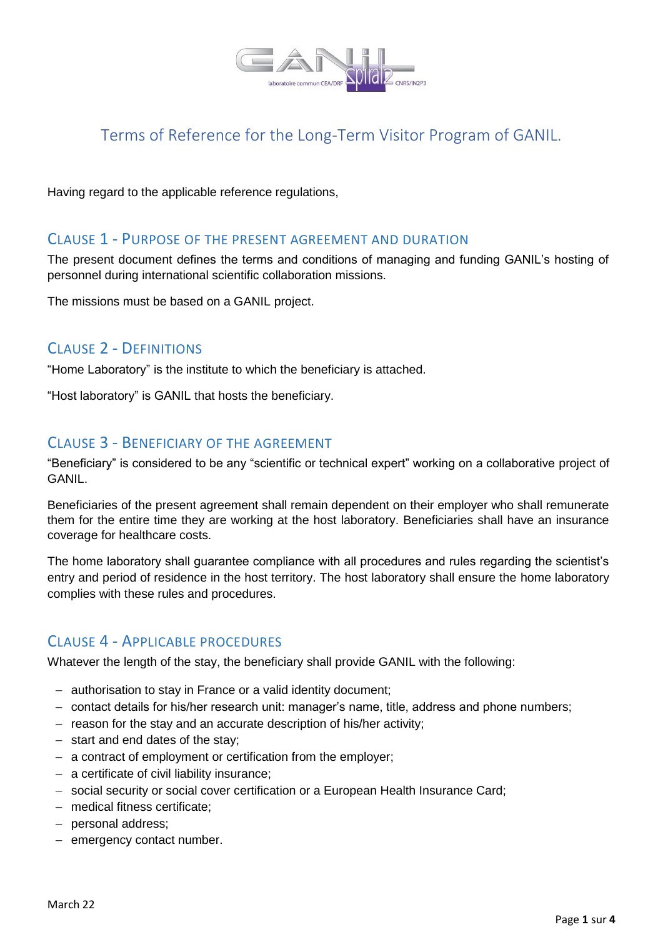

# Terms of Reference for the Long-Term Visitor Program of GANIL.

Having regard to the applicable reference regulations,

#### CLAUSE 1 - PURPOSE OF THE PRESENT AGREEMENT AND DURATION

The present document defines the terms and conditions of managing and funding GANIL's hosting of personnel during international scientific collaboration missions.

The missions must be based on a GANIL project.

### CLAUSE 2 - DEFINITIONS

"Home Laboratory" is the institute to which the beneficiary is attached.

"Host laboratory" is GANIL that hosts the beneficiary.

## CLAUSE 3 - BENEFICIARY OF THE AGREEMENT

"Beneficiary" is considered to be any "scientific or technical expert" working on a collaborative project of GANIL.

Beneficiaries of the present agreement shall remain dependent on their employer who shall remunerate them for the entire time they are working at the host laboratory. Beneficiaries shall have an insurance coverage for healthcare costs.

The home laboratory shall guarantee compliance with all procedures and rules regarding the scientist's entry and period of residence in the host territory. The host laboratory shall ensure the home laboratory complies with these rules and procedures.

### CLAUSE 4 - APPLICABLE PROCEDURES

Whatever the length of the stay, the beneficiary shall provide GANIL with the following:

- authorisation to stay in France or a valid identity document;
- contact details for his/her research unit: manager's name, title, address and phone numbers;
- $-$  reason for the stay and an accurate description of his/her activity;
- $-$  start and end dates of the stay;
- a contract of employment or certification from the employer;
- $-$  a certificate of civil liability insurance;
- social security or social cover certification or a European Health Insurance Card;
- medical fitness certificate;
- personal address;
- $-$  emergency contact number.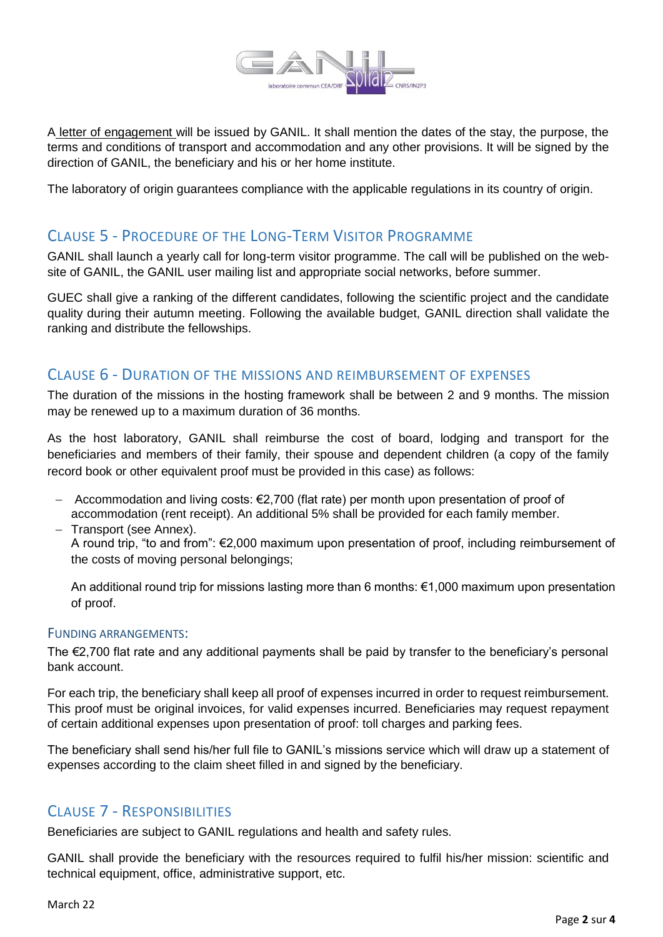

A letter of engagement will be issued by GANIL. It shall mention the dates of the stay, the purpose, the terms and conditions of transport and accommodation and any other provisions. It will be signed by the direction of GANIL, the beneficiary and his or her home institute.

The laboratory of origin guarantees compliance with the applicable regulations in its country of origin.

## CLAUSE 5 - PROCEDURE OF THE LONG-TERM VISITOR PROGRAMME

GANIL shall launch a yearly call for long-term visitor programme. The call will be published on the website of GANIL, the GANIL user mailing list and appropriate social networks, before summer.

GUEC shall give a ranking of the different candidates, following the scientific project and the candidate quality during their autumn meeting. Following the available budget, GANIL direction shall validate the ranking and distribute the fellowships.

### CLAUSE 6 - DURATION OF THE MISSIONS AND REIMBURSEMENT OF EXPENSES

The duration of the missions in the hosting framework shall be between 2 and 9 months. The mission may be renewed up to a maximum duration of 36 months.

As the host laboratory, GANIL shall reimburse the cost of board, lodging and transport for the beneficiaries and members of their family, their spouse and dependent children (a copy of the family record book or other equivalent proof must be provided in this case) as follows:

- $-$  Accommodation and living costs: €2,700 (flat rate) per month upon presentation of proof of accommodation (rent receipt). An additional 5% shall be provided for each family member. - Transport (see Annex).
	- A round trip, "to and from": €2,000 maximum upon presentation of proof, including reimbursement of the costs of moving personal belongings;

An additional round trip for missions lasting more than 6 months: €1,000 maximum upon presentation of proof.

#### FUNDING ARRANGEMENTS:

The €2,700 flat rate and any additional payments shall be paid by transfer to the beneficiary's personal bank account.

For each trip, the beneficiary shall keep all proof of expenses incurred in order to request reimbursement. This proof must be original invoices, for valid expenses incurred. Beneficiaries may request repayment of certain additional expenses upon presentation of proof: toll charges and parking fees.

The beneficiary shall send his/her full file to GANIL's missions service which will draw up a statement of expenses according to the claim sheet filled in and signed by the beneficiary.

### CLAUSE 7 - RESPONSIBILITIES

Beneficiaries are subject to GANIL regulations and health and safety rules.

GANIL shall provide the beneficiary with the resources required to fulfil his/her mission: scientific and technical equipment, office, administrative support, etc.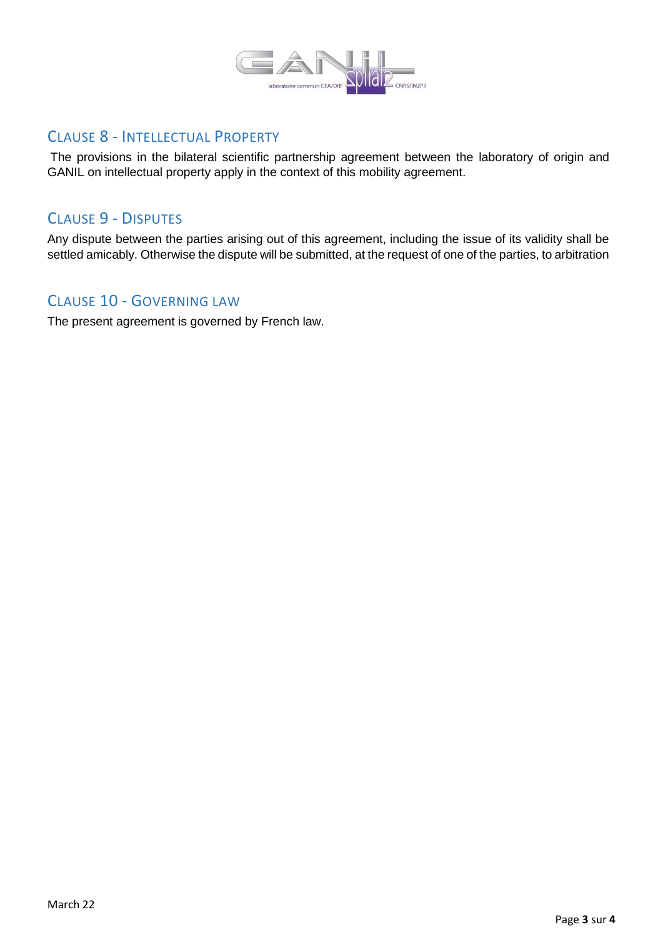

### CLAUSE 8 - INTELLECTUAL PROPERTY

The provisions in the bilateral scientific partnership agreement between the laboratory of origin and GANIL on intellectual property apply in the context of this mobility agreement.

### CLAUSE 9 - DISPUTES

Any dispute between the parties arising out of this agreement, including the issue of its validity shall be settled amicably. Otherwise the dispute will be submitted, at the request of one of the parties, to arbitration

## CLAUSE 10 - GOVERNING LAW

The present agreement is governed by French law.